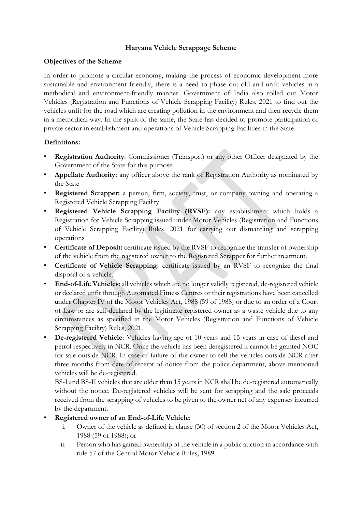### **Haryana Vehicle Scrappage Scheme**

#### **Objectives of the Scheme**

In order to promote a circular economy, making the process of economic development more sustainable and environment friendly, there is a need to phase out old and unfit vehicles in a methodical and environment-friendly manner. Government of India also rolled out Motor Vehicles (Registration and Functions of Vehicle Scrapping Facility) Rules, 2021 to find out the vehicles unfit for the road which are creating pollution in the environment and then recycle them in a methodical way. In the spirit of the same, the State has decided to promote participation of private sector in establishment and operations of Vehicle Scrapping Facilities in the State.

## **Definitions:**

- **Registration Authority**: Commissioner (Transport) or any other Officer designated by the Government of the State for this purpose.
- **Appellate Authority:** any officer above the rank of Registration Authority as nominated by the State
- **Registered Scrapper:** a person, firm, society, trust, or company owning and operating a Registered Vehicle Scrapping Facility
- **Registered Vehicle Scrapping Facility (RVSF):** any establishment which holds a Registration for Vehicle Scrapping issued under Motor Vehicles (Registration and Functions of Vehicle Scrapping Facility) Rules, 2021 for carrying out dismantling and scrapping operations
- **Certificate of Deposit:** certificate issued by the RVSF to recognize the transfer of ownership of the vehicle from the registered owner to the Registered Scrapper for further treatment.
- **Certificate of Vehicle Scrapping:** certificate issued by an RVSF to recognize the final disposal of a vehicle.
- **End-of-Life Vehicles**: all vehicles which are no longer validly registered, de-registered vehicle or declared unfit through Automated Fitness Centres or their registrations have been cancelled under Chapter IV of the Motor Vehicles Act, 1988 (59 of 1988) or due to an order of a Court of Law or are self-declared by the legitimate registered owner as a waste vehicle due to any circumstances as specified in the Motor Vehicles (Registration and Functions of Vehicle Scrapping Facility) Rules, 2021.
- **De-registered Vehicle**: Vehicles having age of 10 years and 15 years in case of diesel and petrol respectively in NCR. Once the vehicle has been deregistered it cannot be granted NOC for sale outside NCR. In case of failure of the owner to sell the vehicles outside NCR after three months from date of receipt of notice from the police department, above mentioned vehicles will be de-registered.

BS-I and BS-II vehicles that are older than 15 years in NCR shall be de-registered automatically without the notice. De-registered vehicles will be sent for scrapping and the sale proceeds received from the scrapping of vehicles to be given to the owner net of any expenses incurred by the department.

- **Registered owner of an End-of-Life Vehicle:**
	- i. Owner of the vehicle as defined in clause (30) of section 2 of the Motor Vehicles Act, 1988 (59 of 1988); or
	- ii. Person who has gained ownership of the vehicle in a public auction in accordance with rule 57 of the Central Motor Vehicle Rules, 1989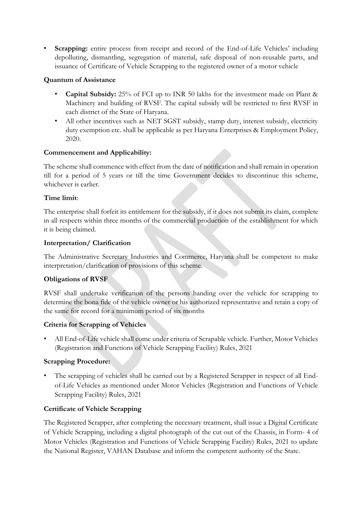• **Scrapping:** entire process from receipt and record of the End-of-Life Vehicles' including depolluting, dismantling, segregation of material, safe disposal of non-reusable parts, and issuance of Certificate of Vehicle Scrapping to the registered owner of a motor vehicle

## **Quantum of Assistance**

- **Capital Subsidy:** 25% of FCI up to INR 50 lakhs for the investment made on Plant & Machinery and building of RVSF. The capital subsidy will be restricted to first RVSF in each district of the State of Haryana.
- All other incentives such as NET SGST subsidy, stamp duty, interest subsidy, electricity duty exemption etc. shall be applicable as per Haryana Enterprises & Employment Policy, 2020.

## **Commencement and Applicability:**

The scheme shall commence with effect from the date of notification and shall remain in operation till for a period of 5 years or till the time Government decides to discontinue this scheme, whichever is earlier.

## **Time limit**:

The enterprise shall forfeit its entitlement for the subsidy, if it does not submit its claim, complete in all respects within three months of the commercial production of the establishment for which it is being claimed.

## **Interpretation/ Clarification**

The Administrative Secretary Industries and Commerce, Haryana shall be competent to make interpretation/clarification of provisions of this scheme.

# **Obligations of RVSF**

RVSF shall undertake verification of the persons handing over the vehicle for scrapping to determine the bona fide of the vehicle owner or his authorized representative and retain a copy of the same for record for a minimum period of six months

# **Criteria for Scrapping of Vehicles**

• All End-of-Life vehicle shall come under criteria of Scrapable vehicle. Further, Motor Vehicles (Registration and Functions of Vehicle Scrapping Facility) Rules, 2021

# **Scrapping Procedure:**

• The scrapping of vehicles shall be carried out by a Registered Scrapper in respect of all Endof-Life Vehicles as mentioned under Motor Vehicles (Registration and Functions of Vehicle Scrapping Facility) Rules, 2021

# **Certificate of Vehicle Scrapping**

The Registered Scrapper, after completing the necessary treatment, shall issue a Digital Certificate of Vehicle Scrapping, including a digital photograph of the cut out of the Chassis, in Form- 4 of Motor Vehicles (Registration and Functions of Vehicle Scrapping Facility) Rules, 2021 to update the National Register, VAHAN Database and inform the competent authority of the State.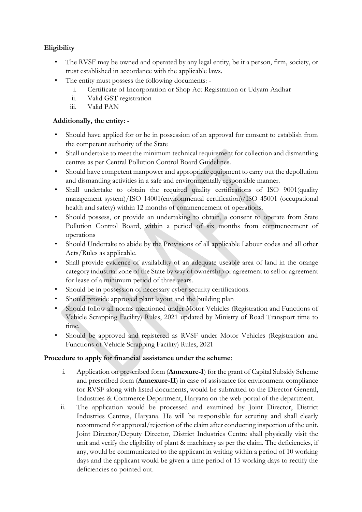# **Eligibility**

- The RVSF may be owned and operated by any legal entity, be it a person, firm, society, or trust established in accordance with the applicable laws.
- The entity must possess the following documents:
	- i. Certificate of Incorporation or Shop Act Registration or Udyam Aadhar
	- ii. Valid GST registration
	- iii. Valid PAN

## **Additionally, the entity: -**

- Should have applied for or be in possession of an approval for consent to establish from the competent authority of the State
- Shall undertake to meet the minimum technical requirement for collection and dismantling centres as per Central Pollution Control Board Guidelines.
- Should have competent manpower and appropriate equipment to carry out the depollution and dismantling activities in a safe and environmentally responsible manner.
- Shall undertake to obtain the required quality certifications of ISO 9001(quality management system)/ISO 14001(environmental certification)/ISO 45001 (occupational health and safety) within 12 months of commencement of operations.
- Should possess, or provide an undertaking to obtain, a consent to operate from State Pollution Control Board, within a period of six months from commencement of operations
- Should Undertake to abide by the Provisions of all applicable Labour codes and all other Acts/Rules as applicable.
- Shall provide evidence of availability of an adequate useable area of land in the orange category industrial zone of the State by way of ownership or agreement to sell or agreement for lease of a minimum period of three years.
- Should be in possession of necessary cyber security certifications.
- Should provide approved plant layout and the building plan
- Should follow all norms mentioned under Motor Vehicles (Registration and Functions of Vehicle Scrapping Facility) Rules, 2021 updated by Ministry of Road Transport time to time.
- Should be approved and registered as RVSF under Motor Vehicles (Registration and Functions of Vehicle Scrapping Facility) Rules, 2021

## **Procedure to apply for financial assistance under the scheme**:

- i. Application on prescribed form (**Annexure-I**) for the grant of Capital Subsidy Scheme and prescribed form (**Annexure-II**) in case of assistance for environment compliance for RVSF along with listed documents, would be submitted to the Director General, Industries & Commerce Department, Haryana on the web portal of the department.
- ii. The application would be processed and examined by Joint Director, District Industries Centres, Haryana. He will be responsible for scrutiny and shall clearly recommend for approval/rejection of the claim after conducting inspection of the unit. Joint Director/Deputy Director, District Industries Centre shall physically visit the unit and verify the eligibility of plant & machinery as per the claim. The deficiencies, if any, would be communicated to the applicant in writing within a period of 10 working days and the applicant would be given a time period of 15 working days to rectify the deficiencies so pointed out.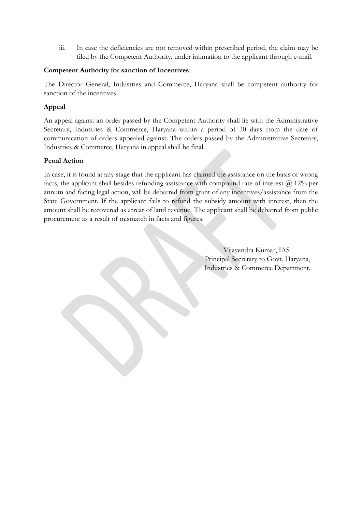iii. In case the deficiencies are not removed within prescribed period, the claim may be filed by the Competent Authority, under intimation to the applicant through e-mail.

## **Competent Authority for sanction of Incentives**:

The Director General, Industries and Commerce, Haryana shall be competent authority for sanction of the incentives.

## **Appeal**

An appeal against an order passed by the Competent Authority shall lie with the Administrative Secretary, Industries & Commerce, Haryana within a period of 30 days from the date of communication of orders appealed against. The orders passed by the Administrative Secretary, Industries & Commerce, Haryana in appeal shall be final.

## **Penal Action**

In case, it is found at any stage that the applicant has claimed the assistance on the basis of wrong facts, the applicant shall besides refunding assistance with compound rate of interest  $\omega$  12% per annum and facing legal action, will be debarred from grant of any incentives/assistance from the State Government. If the applicant fails to refund the subsidy amount with interest, then the amount shall be recovered as arrear of land revenue. The applicant shall be debarred from public procurement as a result of mismatch in facts and figures.

> Vijayendra Kumar, IAS Principal Secretary to Govt. Haryana, Industries & Commerce Department.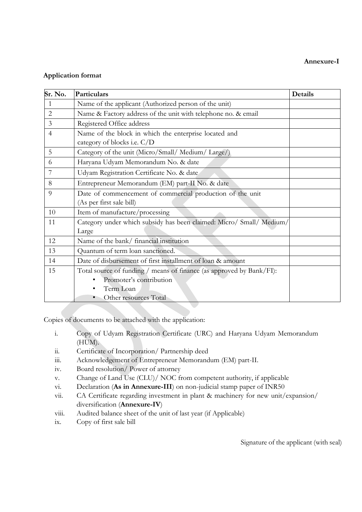#### **Annexure-I**

### **Application format**

| Sr. No.        | Particulars                                                          | Details |
|----------------|----------------------------------------------------------------------|---------|
| 1              | Name of the applicant (Authorized person of the unit)                |         |
| $\overline{2}$ | Name & Factory address of the unit with telephone no. & email        |         |
| $\overline{3}$ | Registered Office address                                            |         |
| $\overline{4}$ | Name of the block in which the enterprise located and                |         |
|                | category of blocks i.e. C/D                                          |         |
| 5              | Category of the unit (Micro/Small/Medium/Large/)                     |         |
| 6              | Haryana Udyam Memorandum No. & date                                  |         |
| 7              | Udyam Registration Certificate No. & date                            |         |
| 8              | Entrepreneur Memorandum (EM) part-II No. & date                      |         |
| 9              | Date of commencement of commercial production of the unit            |         |
|                | (As per first sale bill)                                             |         |
| 10             | Item of manufacture/processing                                       |         |
| 11             | Category under which subsidy has been claimed: Micro/ Small/ Medium/ |         |
|                | Large                                                                |         |
| 12             | Name of the bank/ financial institution                              |         |
| 13             | Quantum of term loan sanctioned.                                     |         |
| 14             | Date of disbursement of first installment of loan & amount           |         |
| 15             | Total source of funding / means of finance (as approved by Bank/FI): |         |
|                | Promoter's contribution                                              |         |
|                | Term Loan                                                            |         |
|                | Other resources Total                                                |         |

Copies of documents to be attached with the application:

- i. Copy of Udyam Registration Certificate (URC) and Haryana Udyam Memorandum (HUM).
- ii. Certificate of Incorporation/ Partnership deed
- iii. Acknowledgement of Entrepreneur Memorandum (EM) part-II.
- iv. Board resolution/ Power of attorney
- v. Change of Land Use (CLU)/ NOC from competent authority, if applicable
- vi. Declaration (**As in Annexure-III**) on non-judicial stamp paper of INR50
- vii. CA Certificate regarding investment in plant & machinery for new unit/expansion/ diversification (**Annexure-IV**)
- viii. Audited balance sheet of the unit of last year (if Applicable)
- ix. Copy of first sale bill

Signature of the applicant (with seal)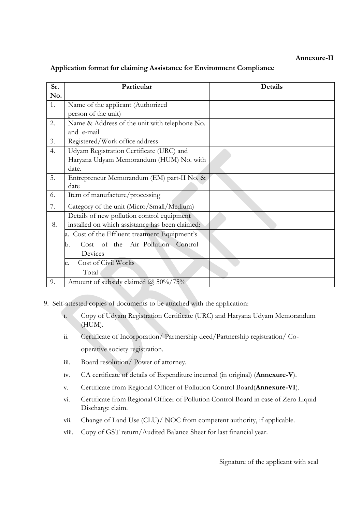### **Annexure-II**

### **Application format for claiming Assistance for Environment Compliance**

| Sr. | Particular                                      | Details |
|-----|-------------------------------------------------|---------|
| No. |                                                 |         |
| 1.  | Name of the applicant (Authorized               |         |
|     | person of the unit)                             |         |
| 2.  | Name & Address of the unit with telephone No.   |         |
|     | and e-mail                                      |         |
| 3.  | Registered/Work office address                  |         |
| 4.  | Udyam Registration Certificate (URC) and        |         |
|     | Haryana Udyam Memorandum (HUM) No. with         |         |
|     | date.                                           |         |
| 5.  | Entrepreneur Memorandum (EM) part-II No. &      |         |
|     | date                                            |         |
| 6.  | Item of manufacture/processing                  |         |
| 7.  | Category of the unit (Micro/Small/Medium)       |         |
|     | Details of new pollution control equipment      |         |
| 8.  | installed on which assistance has been claimed: |         |
|     | a. Cost of the Effluent treatment Equipment's   |         |
|     | Cost of the Air Pollution Control<br>b.         |         |
|     | Devices                                         |         |
|     | Cost of Civil Works<br>c.                       |         |
|     | Total                                           |         |
| 9.  | Amount of subsidy claimed @ 50%/75%             |         |

9. Self-attested copies of documents to be attached with the application:

- i. Copy of Udyam Registration Certificate (URC) and Haryana Udyam Memorandum (HUM).
- ii. Certificate of Incorporation/ Partnership deed/Partnership registration/ Cooperative society registration.
- iii. Board resolution/ Power of attorney.
- iv. CA certificate of details of Expenditure incurred (in original) (**Annexure-V**).
- v. Certificate from Regional Officer of Pollution Control Board(**Annexure-VI**).
- vi. Certificate from Regional Officer of Pollution Control Board in case of Zero Liquid Discharge claim.
- vii. Change of Land Use (CLU)/ NOC from competent authority, if applicable.
- viii. Copy of GST return/Audited Balance Sheet for last financial year.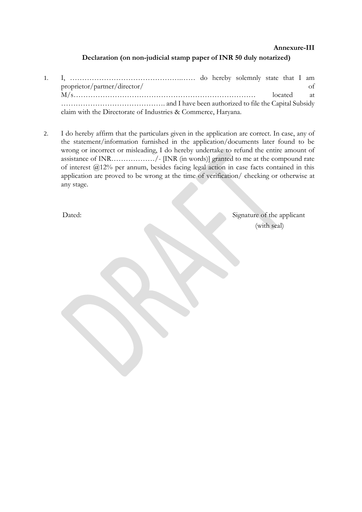#### **Annexure-III**

#### **Declaration (on non-judicial stamp paper of INR 50 duly notarized)**

- 1. I, ……………………………………….…… do hereby solemnly state that I am proprietor/partner/director/ of M/s………………………………………………………………… located at ……………………………………. and I have been authorized to file the Capital Subsidy claim with the Directorate of Industries & Commerce, Haryana.
- 2. I do hereby affirm that the particulars given in the application are correct. In case, any of the statement/information furnished in the application/documents later found to be wrong or incorrect or misleading, I do hereby undertake to refund the entire amount of assistance of INR………………/- [INR (in words)] granted to me at the compound rate of interest @12% per annum, besides facing legal action in case facts contained in this application are proved to be wrong at the time of verification/ checking or otherwise at any stage.

Dated: Signature of the applicant (with seal)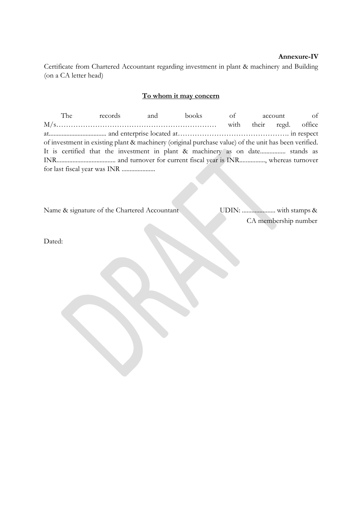#### **Annexure-IV**

Certificate from Chartered Accountant regarding investment in plant & machinery and Building (on a CA letter head)

#### **To whom it may concern**

The records and books of account of M/s………………………………………………………… with their regd. office at.................................... and enterprise located at………………………………………. in respect of investment in existing plant & machinery (original purchase value) of the unit has been verified. It is certified that the investment in plant & machinery as on date................ stands as INR..................................... and turnover for current fiscal year is INR................, whereas turnover for last fiscal year was INR .....................

Name & signature of the Chartered Accountant UDIN: ..................... with stamps &

CA membership number

Dated: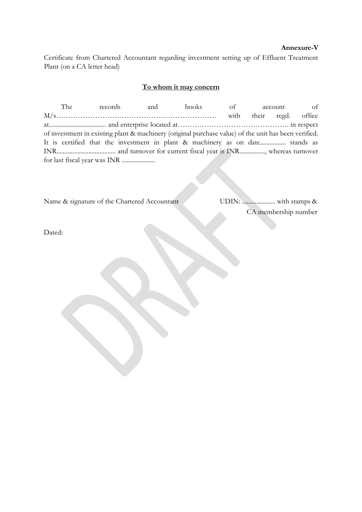#### **Annexure-V**

Certificate from Chartered Accountant regarding investment setting up of Effluent Treatment Plant (on a CA letter head)

#### **To whom it may concern**

The records and books of account of M/s………………………………………………………… with their regd. office at.................................... and enterprise located at………………………………………. in respect of investment in existing plant & machinery (original purchase value) of the unit has been verified. It is certified that the investment in plant & machinery as on date................ stands as INR..................................... and turnover for current fiscal year is INR................, whereas turnover for last fiscal year was INR .....................

Name & signature of the Chartered Accountant UDIN: ..................... with stamps &

CA membership number

Dated: